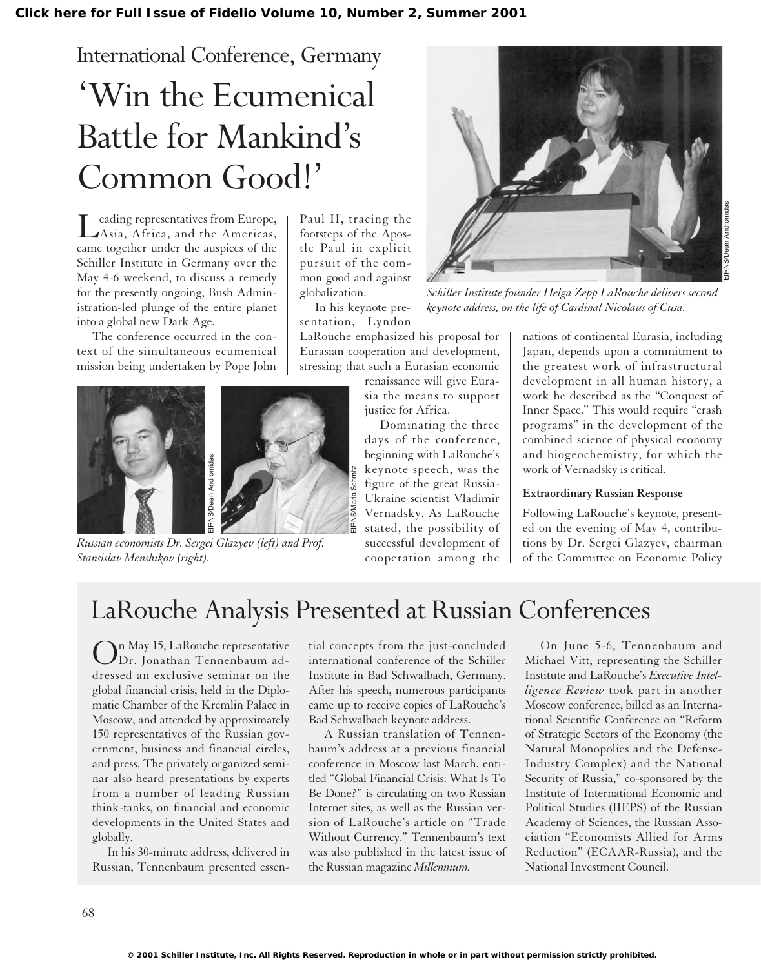# International Conference, Germany 'Win the Ecumenical Battle for Mankind's Common Good!'

Leading representatives from Europe, Asia, Africa, and the Americas, came together under the auspices of the Schiller Institute in Germany over the May 4-6 weekend, to discuss a remedy for the presently ongoing, Bush Administration-led plunge of the entire planet into a global new Dark Age.

The conference occurred in the context of the simultaneous ecumenical mission being undertaken by Pope John



*Russian economists Dr. Sergei Glazyev (left) and Prof.*

Paul II, tracing the footsteps of the Apostle Paul in explicit pursuit of the common good and against globalization.

In his keynote presentation, Lyndon

EIRNS/Maria Schmitz

LaRouche emphasized his proposal for Eurasian cooperation and development, stressing that such a Eurasian economic

> renaissance will give Eurasia the means to support justice for Africa.

Dominating the three days of the conference, beginning with LaRouche's keynote speech, was the figure of the great Russia-Ukraine scientist Vladimir Vernadsky. As LaRouche stated, the possibility of successful development of cooperation among the



*Schiller Institute founder Helga Zepp LaRouche delivers second keynote address, on the life of Cardinal Nicolaus of Cusa.*

nations of continental Eurasia, including Japan, depends upon a commitment to the greatest work of infrastructural development in all human history, a work he described as the "Conquest of Inner Space." This would require "crash programs" in the development of the combined science of physical economy and biogeochemistry, for which the work of Vernadsky is critical.

### **Extraordinary Russian Response**

Following LaRouche's keynote, presented on the evening of May 4, contributions by Dr. Sergei Glazyev, chairman of the Committee on Economic Policy

## LaRouche Analysis Presented at Russian Conferences

On May 15, LaRouche representative Dr. Jonathan Tennenbaum addressed an exclusive seminar on the global financial crisis, held in the Diplomatic Chamber of the Kremlin Palace in Moscow, and attended by approximately 150 representatives of the Russian government, business and financial circles, and press. The privately organized seminar also heard presentations by experts from a number of leading Russian think-tanks, on financial and economic developments in the United States and globally.

In his 30-minute address, delivered in Russian, Tennenbaum presented essential concepts from the just-concluded international conference of the Schiller Institute in Bad Schwalbach, Germany. After his speech, numerous participants came up to receive copies of LaRouche's Bad Schwalbach keynote address.

A Russian translation of Tennenbaum's address at a previous financial conference in Moscow last March, entitled "Global Financial Crisis: What Is To Be Done?" is circulating on two Russian Internet sites, as well as the Russian version of LaRouche's article on "Trade Without Currency." Tennenbaum's text was also published in the latest issue of the Russian magazine *Millennium.*

On June 5-6, Tennenbaum and Michael Vitt, representing the Schiller Institute and LaRouche's *Executive Intelligence Review* took part in another Moscow conference, billed as an International Scientific Conference on "Reform of Strategic Sectors of the Economy (the Natural Monopolies and the Defense-Industry Complex) and the National Security of Russia," co-sponsored by the Institute of International Economic and Political Studies (IIEPS) of the Russian Academy of Sciences, the Russian Association "Economists Allied for Arms Reduction" (ECAAR-Russia), and the National Investment Council.